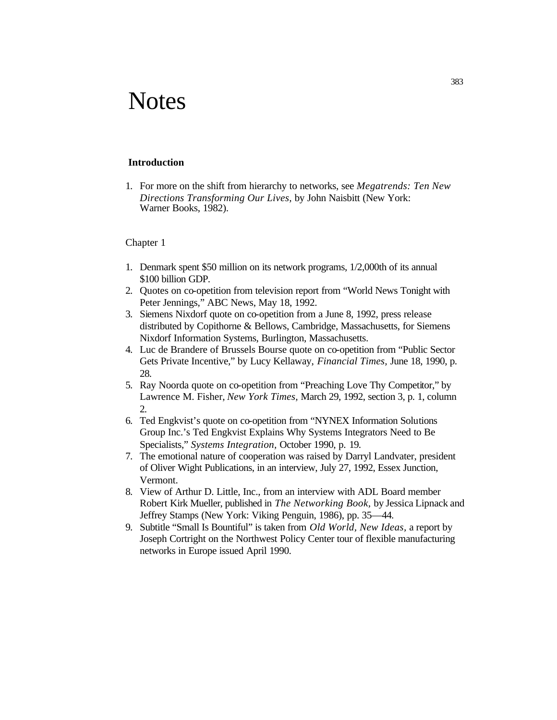# **Notes**

#### **Introduction**

1. For more on the shift from hierarchy to networks, see *Megatrends: Ten New Directions Transforming Our Lives,* by John Naisbitt (New York: Warner Books, 1982).

- 1. Denmark spent \$50 million on its network programs, 1/2,000th of its annual \$100 billion GDP.
- 2. Quotes on co-opetition from television report from "World News Tonight with Peter Jennings," ABC News, May 18, 1992.
- 3. Siemens Nixdorf quote on co-opetition from a June 8, 1992, press release distributed by Copithorne & Bellows, Cambridge, Massachusetts, for Siemens Nixdorf Information Systems, Burlington, Massachusetts.
- 4. Luc de Brandere of Brussels Bourse quote on co-opetition from "Public Sector Gets Private Incentive," by Lucy Kellaway, *Financial Times,* June 18, 1990, p. 28.
- 5. Ray Noorda quote on co-opetition from "Preaching Love Thy Competitor," by Lawrence M. Fisher, *New York Times,* March 29, 1992, section 3, p. 1, column 2.
- 6. Ted Engkvist's quote on co-opetition from "NYNEX Information Solutions Group Inc.'s Ted Engkvist Explains Why Systems Integrators Need to Be Specialists," *Systems Integration,* October 1990, p. 19.
- 7. The emotional nature of cooperation was raised by Darryl Landvater, president of Oliver Wight Publications, in an interview, July 27, 1992, Essex Junction, Vermont.
- 8. View of Arthur D. Little, Inc., from an interview with ADL Board member Robert Kirk Mueller, published in *The Networking Book,* by Jessica Lipnack and Jeffrey Stamps (New York: Viking Penguin, 1986), pp. 35—44.
- 9. Subtitle "Small Is Bountiful" is taken from *Old World, New Ideas,* a report by Joseph Cortright on the Northwest Policy Center tour of flexible manufacturing networks in Europe issued April 1990.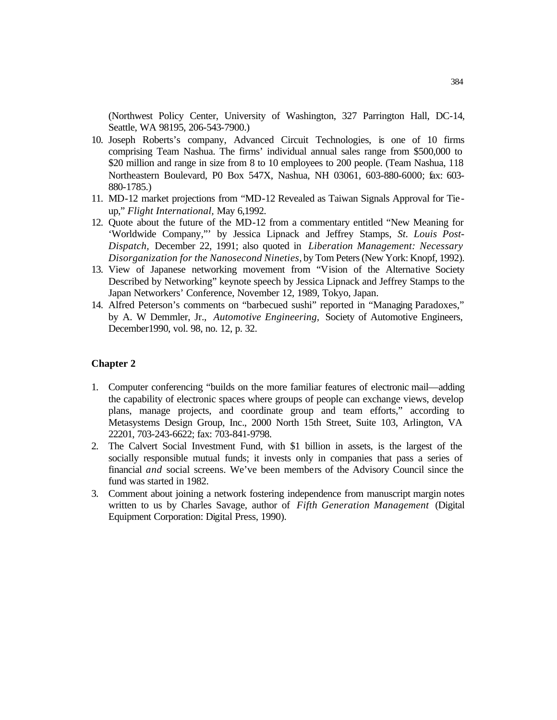(Northwest Policy Center, University of Washington, 327 Parrington Hall, DC-14, Seattle, WA 98195, 206-543-7900.)

- 10. Joseph Roberts's company, Advanced Circuit Technologies, is one of 10 firms comprising Team Nashua. The firms' individual annual sales range from \$500,000 to \$20 million and range in size from 8 to 10 employees to 200 people. (Team Nashua, 118 Northeastern Boulevard, P0 Box 547X, Nashua, NH 03061, 603-880-6000; fax: 603- 880-1785.)
- 11. MD-12 market projections from "MD-12 Revealed as Taiwan Signals Approval for Tie up," *Flight International,* May 6,1992.
- 12. Quote about the future of the MD-12 from a commentary entitled "New Meaning for 'Worldwide Company,"' by Jessica Lipnack and Jeffrey Stamps, *St. Louis Post-Dispatch,* December 22, 1991; also quoted in *Liberation Management: Necessary Disorganization for the Nanosecond Nineties,* by Tom Peters (New York: Knopf, 1992).
- 13. View of Japanese networking movement from "Vision of the Alternative Society Described by Networking" keynote speech by Jessica Lipnack and Jeffrey Stamps to the Japan Networkers' Conference, November 12, 1989, Tokyo, Japan.
- 14. Alfred Peterson's comments on "barbecued sushi" reported in "Managing Paradoxes," by A. W Demmler, Jr., *Automotive Engineering,* Society of Automotive Engineers, December1990, vol. 98, no. 12, p. 32.

- 1. Computer conferencing "builds on the more familiar features of electronic mail—adding the capability of electronic spaces where groups of people can exchange views, develop plans, manage projects, and coordinate group and team efforts," according to Metasystems Design Group, Inc., 2000 North 15th Street, Suite 103, Arlington, VA 22201, 703-243-6622; fax: 703-841-9798.
- 2. The Calvert Social Investment Fund, with \$1 billion in assets, is the largest of the socially responsible mutual funds; it invests only in companies that pass a series of financial *and* social screens. We've been members of the Advisory Council since the fund was started in 1982.
- 3. Comment about joining a network fostering independence from manuscript margin notes written to us by Charles Savage, author of *Fifth Generation Management* (Digital Equipment Corporation: Digital Press, 1990).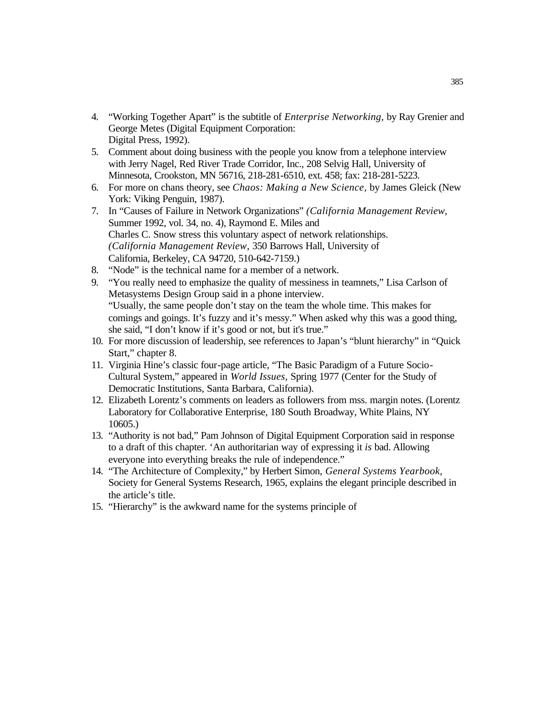- 4. "Working Together Apart" is the subtitle of *Enterprise Networking,* by Ray Grenier and George Metes (Digital Equipment Corporation: Digital Press, 1992).
- 5. Comment about doing business with the people you know from a telephone interview with Jerry Nagel, Red River Trade Corridor, Inc., 208 Selvig Hall, University of Minnesota, Crookston, MN 56716, 218-281-6510, ext. 458; fax: 218-281-5223.
- 6. For more on chans theory, see *Chaos: Making a New Science,* by James Gleick (New York: Viking Penguin, 1987).
- 7. In "Causes of Failure in Network Organizations" *(California Management Review,*  Summer 1992, vol. 34, no. 4), Raymond E. Miles and Charles C. Snow stress this voluntary aspect of network relationships. *(California Management Review,* 350 Barrows Hall, University of California, Berkeley, CA 94720, 510-642-7159.)
- 8. "Node" is the technical name for a member of a network.
- 9. "You really need to emphasize the quality of messiness in teamnets," Lisa Carlson of Metasystems Design Group said in a phone interview. "Usually, the same people don't stay on the team the whole time. This makes for comings and goings. It's fuzzy and it's messy." When asked why this was a good thing, she said, "I don't know if it's good or not, but it's true."
- 10. For more discussion of leadership, see references to Japan's "blunt hierarchy" in "Quick Start," chapter 8.
- 11. Virginia Hine's classic four-page article, "The Basic Paradigm of a Future Socio-Cultural System," appeared in *World Issues,* Spring 1977 (Center for the Study of Democratic Institutions, Santa Barbara, California).
- 12. Elizabeth Lorentz's comments on leaders as followers from mss. margin notes. (Lorentz Laboratory for Collaborative Enterprise, 180 South Broadway, White Plains, NY 10605.)
- 13. "Authority is not bad," Pam Johnson of Digital Equipment Corporation said in response to a draft of this chapter. 'An authoritarian way of expressing it *is* bad. Allowing everyone into everything breaks the rule of independence."
- 14. "The Architecture of Complexity," by Herbert Simon, *General Systems Yearbook,*  Society for General Systems Research, 1965, explains the elegant principle described in the article's title.
- 15. "Hierarchy" is the awkward name for the systems principle of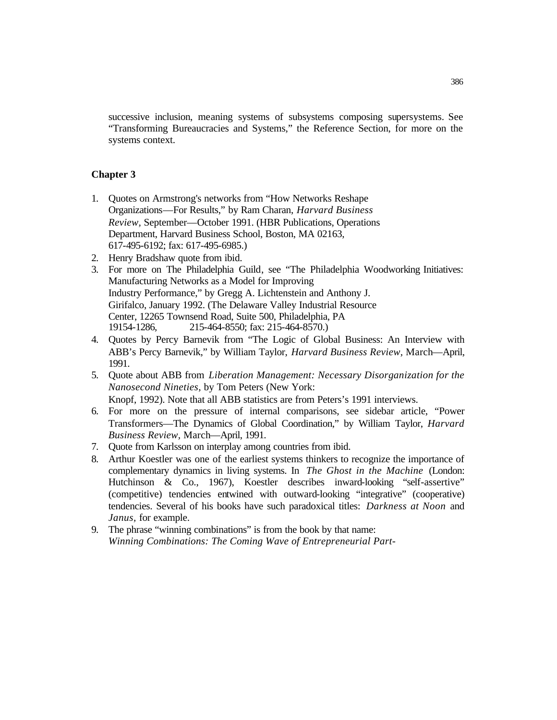successive inclusion, meaning systems of subsystems composing supersystems. See "Transforming Bureaucracies and Systems," the Reference Section, for more on the systems context.

- 1. Quotes on Armstrong's networks from "How Networks Reshape Organizations—For Results," by Ram Charan, *Harvard Business Review,* September—October 1991. (HBR Publications, Operations Department, Harvard Business School, Boston, MA 02163, 617-495-6192; fax: 617-495-6985.)
- 2. Henry Bradshaw quote from ibid.
- 3. For more on The Philadelphia Guild, see "The Philadelphia Woodworking Initiatives: Manufacturing Networks as a Model for Improving Industry Performance," by Gregg A. Lichtenstein and Anthony J. Girifalco, January 1992. (The Delaware Valley Industrial Resource Center, 12265 Townsend Road, Suite 500, Philadelphia, PA 19154-1286, 215-464-8550; fax: 215-464-8570.)
- 4. Quotes by Percy Barnevik from "The Logic of Global Business: An Interview with ABB's Percy Barnevik," by William Taylor, *Harvard Business Review,* March—April, 1991.
- 5. Quote about ABB from *Liberation Management: Necessary Disorganization for the Nanosecond Nineties,* by Tom Peters (New York: Knopf, 1992). Note that all ABB statistics are from Peters's 1991 interviews.
- 6. For more on the pressure of internal comparisons, see sidebar article, "Power Transformers—The Dynamics of Global Coordination," by William Taylor, *Harvard Business Review,* March—April, 1991.
- 7. Quote from Karlsson on interplay among countries from ibid.
- 8. Arthur Koestler was one of the earliest systems thinkers to recognize the importance of complementary dynamics in living systems. In *The Ghost in the Machine* (London: Hutchinson & Co., 1967), Koestler describes inward-looking "self-assertive" (competitive) tendencies entwined with outward-looking "integrative" (cooperative) tendencies. Several of his books have such paradoxical titles: *Darkness at Noon* and *Janus,* for example.
- 9. The phrase "winning combinations" is from the book by that name: *Winning Combinations: The Coming Wave of Entrepreneurial Part-*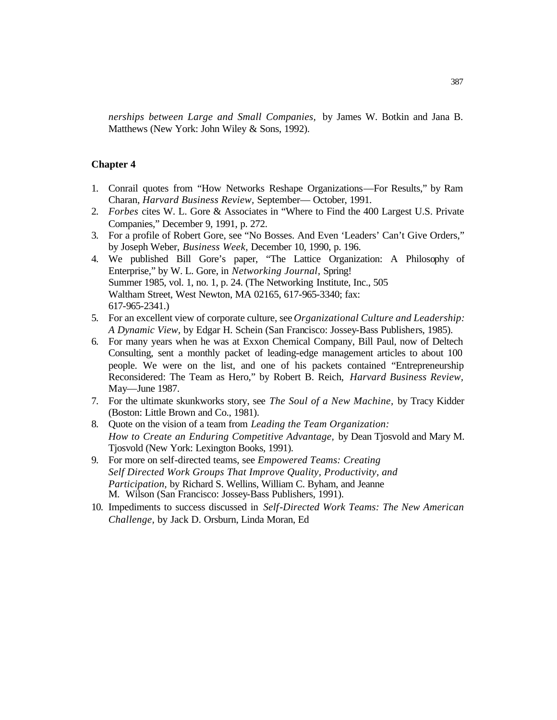*nerships between Large and Small Companies,* by James W. Botkin and Jana B. Matthews (New York: John Wiley & Sons, 1992).

- 1. Conrail quotes from "How Networks Reshape Organizations—For Results," by Ram Charan, *Harvard Business Review,* September— October, 1991.
- 2. *Forbes* cites W. L. Gore & Associates in "Where to Find the 400 Largest U.S. Private Companies," December 9, 1991, p. 272.
- 3. For a profile of Robert Gore, see "No Bosses. And Even 'Leaders' Can't Give Orders," by Joseph Weber, *Business Week,* December 10, 1990, p. 196.
- 4. We published Bill Gore's paper, "The Lattice Organization: A Philosophy of Enterprise," by W. L. Gore, in *Networking Journal,* Spring! Summer 1985, vol. 1, no. 1, p. 24. (The Networking Institute, Inc., 505 Waltham Street, West Newton, MA 02165, 617-965-3340; fax: 617-965-2341.)
- 5. For an excellent view of corporate culture, see *Organizational Culture and Leadership: A Dynamic View,* by Edgar H. Schein (San Francisco: Jossey-Bass Publishers, 1985).
- 6. For many years when he was at Exxon Chemical Company, Bill Paul, now of Deltech Consulting, sent a monthly packet of leading-edge management articles to about 100 people. We were on the list, and one of his packets contained "Entrepreneurship Reconsidered: The Team as Hero," by Robert B. Reich, *Harvard Business Review,*  May—June 1987.
- 7. For the ultimate skunkworks story, see *The Soul of a New Machine,* by Tracy Kidder (Boston: Little Brown and Co., 1981).
- 8. Quote on the vision of a team from *Leading the Team Organization: How to Create an Enduring Competitive Advantage,* by Dean Tjosvold and Mary M. Tjosvold (New York: Lexington Books, 1991).
- 9. For more on self-directed teams, see *Empowered Teams: Creating Self Directed Work Groups That Improve Quality, Productivity, and Participation,* by Richard S. Wellins, William C. Byham, and Jeanne M. Wilson (San Francisco: Jossey-Bass Publishers, 1991).
- 10. Impediments to success discussed in *Self-Directed Work Teams: The New American Challenge,* by Jack D. Orsburn, Linda Moran, Ed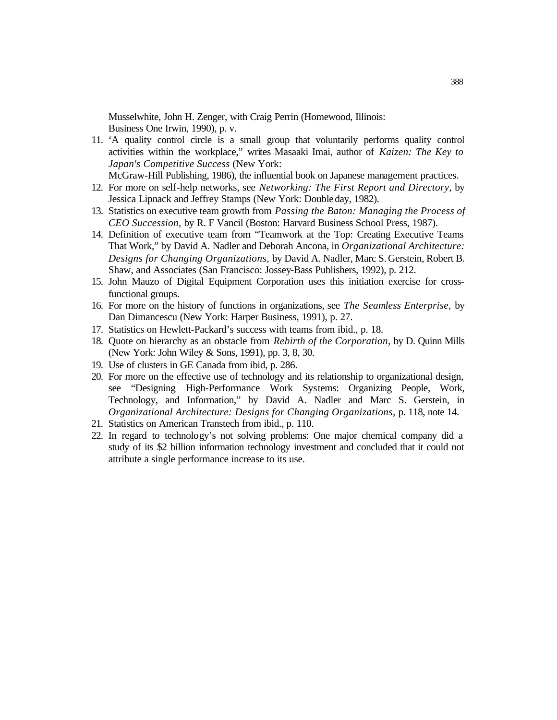Musselwhite, John H. Zenger, with Craig Perrin (Homewood, Illinois: Business One Irwin, 1990), p. v.

11. 'A quality control circle is a small group that voluntarily performs quality control activities within the workplace," writes Masaaki Imai, author of *Kaizen: The Key to Japan's Competitive Success* (New York:

McGraw-Hill Publishing, 1986), the influential book on Japanese management practices.

- 12. For more on self-help networks, see *Networking: The First Report and Directory,* by Jessica Lipnack and Jeffrey Stamps (New York: Doubleday, 1982).
- 13. Statistics on executive team growth from *Passing the Baton: Managing the Process of CEO Succession,* by R. F Vancil (Boston: Harvard Business School Press, 1987).
- 14. Definition of executive team from "Teamwork at the Top: Creating Executive Teams That Work," by David A. Nadler and Deborah Ancona, in *Organizational Architecture: Designs for Changing Organizations,* by David A. Nadler, Marc S. Gerstein, Robert B. Shaw, and Associates (San Francisco: Jossey-Bass Publishers, 1992), p. 212.
- 15. John Mauzo of Digital Equipment Corporation uses this initiation exercise for crossfunctional groups.
- 16. For more on the history of functions in organizations, see *The Seamless Enterprise,* by Dan Dimancescu (New York: Harper Business, 1991), p. 27.
- 17. Statistics on Hewlett-Packard's success with teams from ibid., p. 18.
- 18. Quote on hierarchy as an obstacle from *Rebirth of the Corporation,* by D. Quinn Mills (New York: John Wiley & Sons, 1991), pp. 3, 8, 30.
- 19. Use of clusters in GE Canada from ibid, p. 286.
- 20. For more on the effective use of technology and its relationship to organizational design, see "Designing High-Performance Work Systems: Organizing People, Work, Technology, and Information," by David A. Nadler and Marc S. Gerstein, in *Organizational Architecture: Designs for Changing Organizations,* p. 118, note 14.
- 21. Statistics on American Transtech from ibid., p. 110.
- 22. In regard to technology's not solving problems: One major chemical company did a study of its \$2 billion information technology investment and concluded that it could not attribute a single performance increase to its use.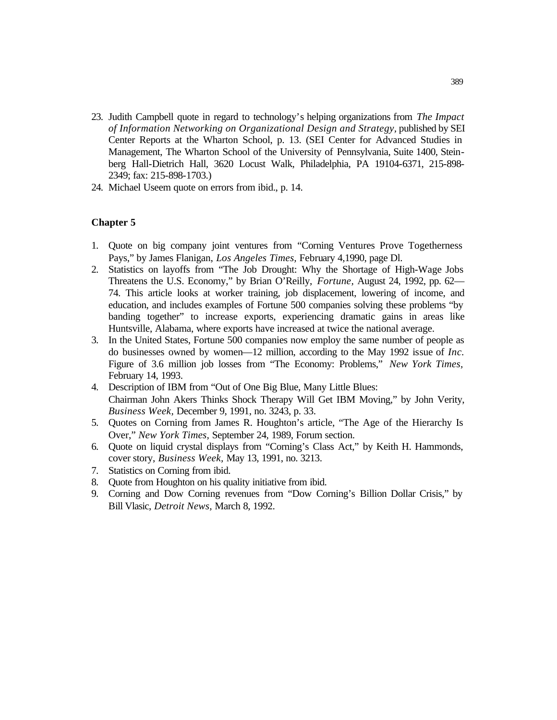- 23. Judith Campbell quote in regard to technology's helping organizations from *The Impact of Information Networking on Organizational Design and Strategy,* published by SEI Center Reports at the Wharton School, p. 13. (SEI Center for Advanced Studies in Management, The Wharton School of the University of Pennsylvania, Suite 1400, Steinberg Hall-Dietrich Hall, 3620 Locust Walk, Philadelphia, PA 19104-6371, 215-898- 2349; fax: 215-898-1703.)
- 24. Michael Useem quote on errors from ibid., p. 14.

- 1. Quote on big company joint ventures from "Corning Ventures Prove Togetherness Pays," by James Flanigan, *Los Angeles Times,* February 4,1990, page Dl.
- 2. Statistics on layoffs from "The Job Drought: Why the Shortage of High-Wage Jobs Threatens the U.S. Economy," by Brian O'Reilly, *Fortune,* August 24, 1992, pp. 62— 74. This article looks at worker training, job displacement, lowering of income, and education, and includes examples of Fortune 500 companies solving these problems "by banding together" to increase exports, experiencing dramatic gains in areas like Huntsville, Alabama, where exports have increased at twice the national average.
- 3. In the United States, Fortune 500 companies now employ the same number of people as do businesses owned by women—12 million, according to the May 1992 issue of *Inc.*  Figure of 3.6 million job losses from "The Economy: Problems," *New York Times,*  February 14, 1993.
- 4. Description of IBM from "Out of One Big Blue, Many Little Blues: Chairman John Akers Thinks Shock Therapy Will Get IBM Moving," by John Verity, *Business Week,* December 9, 1991, no. 3243, p. 33.
- 5. Quotes on Corning from James R. Houghton's article, "The Age of the Hierarchy Is Over," *New York Times,* September 24, 1989, Forum section.
- 6. Quote on liquid crystal displays from "Corning's Class Act," by Keith H. Hammonds, cover story, *Business Week,* May 13, 1991, no. 3213.
- 7. Statistics on Corning from ibid.
- 8. Quote from Houghton on his quality initiative from ibid.
- 9. Corning and Dow Corning revenues from "Dow Corning's Billion Dollar Crisis," by Bill Vlasic, *Detroit News,* March 8, 1992.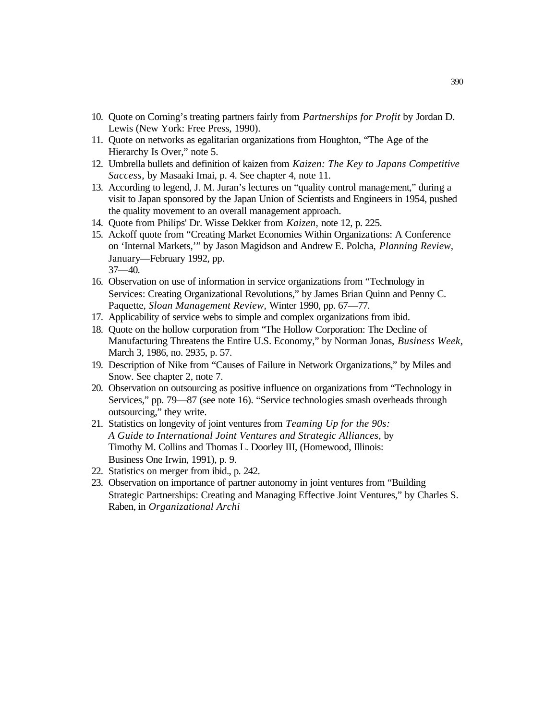- 10. Quote on Corning's treating partners fairly from *Partnerships for Profit* by Jordan D. Lewis (New York: Free Press, 1990).
- 11. Quote on networks as egalitarian organizations from Houghton, "The Age of the Hierarchy Is Over," note 5.
- 12. Umbrella bullets and definition of kaizen from *Kaizen: The Key to Japans Competitive Success,* by Masaaki Imai, p. 4. See chapter 4, note 11.
- 13. According to legend, J. M. Juran's lectures on "quality control management," during a visit to Japan sponsored by the Japan Union of Scientists and Engineers in 1954, pushed the quality movement to an overall management approach.
- 14. Quote from Philips' Dr. Wisse Dekker from *Kaizen,* note 12, p. 225.
- 15. Ackoff quote from "Creating Market Economies Within Organizations: A Conference on 'Internal Markets,'" by Jason Magidson and Andrew E. Polcha, *Planning Review,*  January—February 1992, pp. 37—40.
- 16. Observation on use of information in service organizations from "Technology in Services: Creating Organizational Revolutions," by James Brian Quinn and Penny C. Paquette, *Sloan Management Review,* Winter 1990, pp. 67—77.
- 17. Applicability of service webs to simple and complex organizations from ibid.
- 18. Quote on the hollow corporation from "The Hollow Corporation: The Decline of Manufacturing Threatens the Entire U.S. Economy," by Norman Jonas, *Business Week,*  March 3, 1986, no. 2935, p. 57.
- 19. Description of Nike from "Causes of Failure in Network Organizations," by Miles and Snow. See chapter 2, note 7.
- 20. Observation on outsourcing as positive influence on organizations from "Technology in Services," pp. 79—87 (see note 16). "Service technologies smash overheads through outsourcing," they write.
- 21. Statistics on longevity of joint ventures from *Teaming Up for the 90s: A Guide to International Joint Ventures and Strategic Alliances,* by Timothy M. Collins and Thomas L. Doorley III, (Homewood, Illinois: Business One Irwin, 1991), p. 9.
- 22. Statistics on merger from ibid., p. 242.
- 23. Observation on importance of partner autonomy in joint ventures from "Building Strategic Partnerships: Creating and Managing Effective Joint Ventures," by Charles S. Raben, in *Organizational Archi*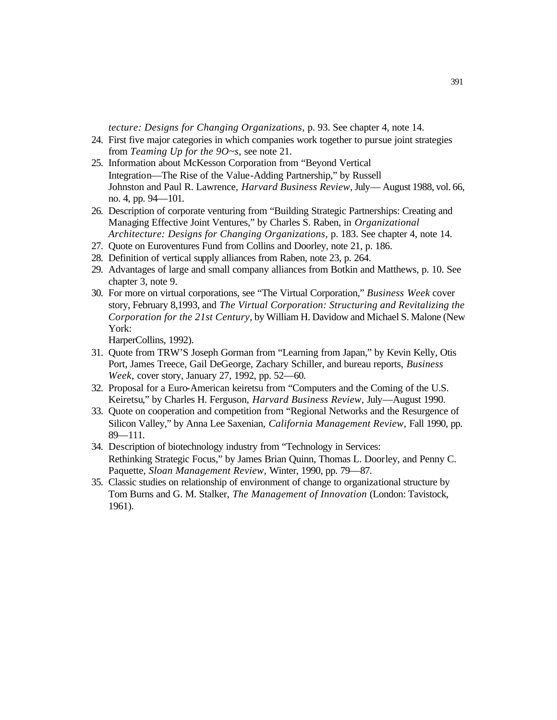*tecture: Designs for Changing Organizations,* p. 93. See chapter 4, note 14.

- 24. First five major categories in which companies work together to pursue joint strategies from *Teaming Up for the 9O~s,* see note 21.
- 25. Information about McKesson Corporation from "Beyond Vertical Integration—The Rise of the Value-Adding Partnership," by Russell Johnston and Paul R. Lawrence, *Harvard Business Review,* July— August 1988, vol. 66, no. 4, pp. 94—101.
- 26. Description of corporate venturing from "Building Strategic Partnerships: Creating and Managing Effective Joint Ventures," by Charles S. Raben, in *Organizational Architecture: Designs for Changing Organizations,* p. 183. See chapter 4, note 14.
- 27. Quote on Euroventures Fund from Collins and Doorley, note 21, p. 186.
- 28. Definition of vertical supply alliances from Raben, note 23, p. 264.
- 29. Advantages of large and small company alliances from Botkin and Matthews, p. 10. See chapter 3, note 9.
- 30. For more on virtual corporations, see "The Virtual Corporation," *Business Week* cover story, February 8,1993, and *The Virtual Corporation: Structuring and Revitalizing the Corporation for the 21st Century,* by William H. Davidow and Michael S. Malone (New York:

HarperCollins, 1992).

- 31. Quote from TRW'S Joseph Gorman from "Learning from Japan," by Kevin Kelly, Otis Port, James Treece, Gail DeGeorge, Zachary Schiller, and bureau reports, *Business Week,* cover story, January 27, 1992, pp. 52—60.
- 32. Proposal for a Euro-American keiretsu from "Computers and the Coming of the U.S. Keiretsu," by Charles H. Ferguson, *Harvard Business Review,* July—August 1990.
- 33. Quote on cooperation and competition from "Regional Networks and the Resurgence of Silicon Valley," by Anna Lee Saxenian, *California Management Review,* Fall 1990, pp. 89—111.
- 34. Description of biotechnology industry from "Technology in Services: Rethinking Strategic Focus," by James Brian Quinn, Thomas L. Doorley, and Penny C. Paquette, *Sloan Management Review,* Winter, 1990, pp. 79—87.
- 35. Classic studies on relationship of environment of change to organizational structure by Tom Burns and G. M. Stalker, *The Management of Innovation* (London: Tavistock, 1961).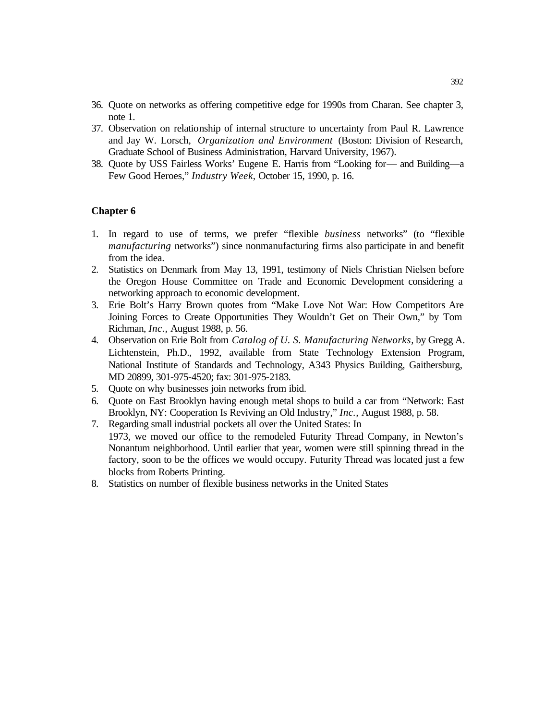- 36. Quote on networks as offering competitive edge for 1990s from Charan. See chapter 3, note 1.
- 37. Observation on relationship of internal structure to uncertainty from Paul R. Lawrence and Jay W. Lorsch, *Organization and Environment* (Boston: Division of Research, Graduate School of Business Administration, Harvard University, 1967).
- 38. Quote by USS Fairless Works' Eugene E. Harris from "Looking for— and Building—a Few Good Heroes," *Industry Week,* October 15, 1990, p. 16.

- 1. In regard to use of terms, we prefer "flexible *business* networks" (to "flexible *manufacturing* networks") since nonmanufacturing firms also participate in and benefit from the idea.
- 2. Statistics on Denmark from May 13, 1991, testimony of Niels Christian Nielsen before the Oregon House Committee on Trade and Economic Development considering a networking approach to economic development.
- 3. Erie Bolt's Harry Brown quotes from "Make Love Not War: How Competitors Are Joining Forces to Create Opportunities They Wouldn't Get on Their Own," by Tom Richman, *Inc.,* August 1988, p. 56.
- 4. Observation on Erie Bolt from *Catalog of U. S. Manufacturing Networks,* by Gregg A. Lichtenstein, Ph.D., 1992, available from State Technology Extension Program, National Institute of Standards and Technology, A343 Physics Building, Gaithersburg, MD 20899, 301-975-4520; fax: 301-975-2183.
- 5. Quote on why businesses join networks from ibid.
- 6. Quote on East Brooklyn having enough metal shops to build a car from "Network: East Brooklyn, NY: Cooperation Is Reviving an Old Industry," *Inc.,* August 1988, p. 58.
- 7. Regarding small industrial pockets all over the United States: In 1973, we moved our office to the remodeled Futurity Thread Company, in Newton's Nonantum neighborhood. Until earlier that year, women were still spinning thread in the factory, soon to be the offices we would occupy. Futurity Thread was located just a few blocks from Roberts Printing.
- 8. Statistics on number of flexible business networks in the United States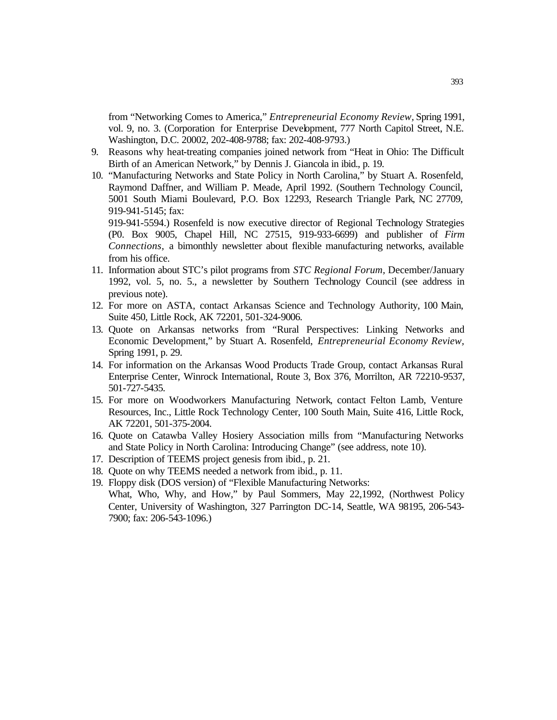from "Networking Comes to America," *Entrepreneurial Economy Review,* Spring 1991, vol. 9, no. 3. (Corporation for Enterprise Development, 777 North Capitol Street, N.E. Washington, D.C. 20002, 202-408-9788; fax: 202-408-9793.)

- 9. Reasons why heat-treating companies joined network from "Heat in Ohio: The Difficult Birth of an American Network," by Dennis J. Giancola in ibid., p. 19.
- 10. "Manufacturing Networks and State Policy in North Carolina," by Stuart A. Rosenfeld, Raymond Daffner, and William P. Meade, April 1992. (Southern Technology Council, 5001 South Miami Boulevard, P.O. Box 12293, Research Triangle Park, NC 27709, 919-941-5145; fax:

919-941-5594.) Rosenfeld is now executive director of Regional Technology Strategies (P0. Box 9005, Chapel Hill, NC 27515, 919-933-6699) and publisher of *Firm Connections,* a bimonthly newsletter about flexible manufacturing networks, available from his office.

- 11. Information about STC's pilot programs from *STC Regional Forum,* December/January 1992, vol. 5, no. 5., a newsletter by Southern Technology Council (see address in previous note).
- 12. For more on ASTA, contact Arkansas Science and Technology Authority, 100 Main, Suite 450, Little Rock, AK 72201, 501-324-9006.
- 13. Quote on Arkansas networks from "Rural Perspectives: Linking Networks and Economic Development," by Stuart A. Rosenfeld, *Entrepreneurial Economy Review,* Spring 1991, p. 29.
- 14. For information on the Arkansas Wood Products Trade Group, contact Arkansas Rural Enterprise Center, Winrock International, Route 3, Box 376, Morrilton, AR 72210-9537, 501-727-5435.
- 15. For more on Woodworkers Manufacturing Network, contact Felton Lamb, Venture Resources, Inc., Little Rock Technology Center, 100 South Main, Suite 416, Little Rock, AK 72201, 501-375-2004.
- 16. Quote on Catawba Valley Hosiery Association mills from "Manufacturing Networks and State Policy in North Carolina: Introducing Change" (see address, note 10).
- 17. Description of TEEMS project genesis from ibid., p. 21.
- 18. Quote on why TEEMS needed a network from ibid., p. 11.
- 19. Floppy disk (DOS version) of "Flexible Manufacturing Networks: What, Who, Why, and How," by Paul Sommers, May 22,1992, (Northwest Policy Center, University of Washington, 327 Parrington DC-14, Seattle, WA 98195, 206-543- 7900; fax: 206-543-1096.)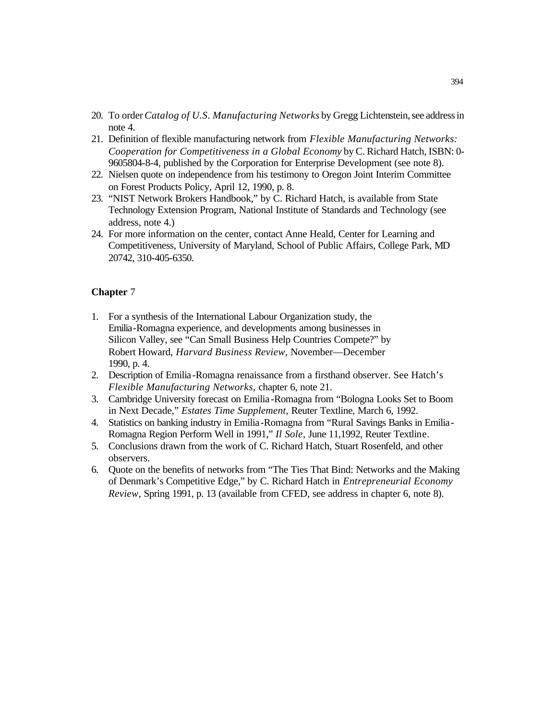- 20. To order *Catalog of U.S. Manufacturing Networks* by Gregg Lichtenstein, see address in note 4.
- 21. Definition of flexible manufacturing network from *Flexible Manufacturing Networks: Cooperation for Competitiveness in a Global Economy* by C. Richard Hatch, ISBN: 0- 9605804-8-4, published by the Corporation for Enterprise Development (see note 8).
- 22. Nielsen quote on independence from his testimony to Oregon Joint Interim Committee on Forest Products Policy, April 12, 1990, p. 8.
- 23. "NIST Network Brokers Handbook," by C. Richard Hatch, is available from State Technology Extension Program, National Institute of Standards and Technology (see address, note 4.)
- 24. For more information on the center, contact Anne Heald, Center for Learning and Competitiveness, University of Maryland, School of Public Affairs, College Park, MD 20742, 310-405-6350.

- 1. For a synthesis of the International Labour Organization study, the Emilia-Romagna experience, and developments among businesses in Silicon Valley, see "Can Small Business Help Countries Compete?" by Robert Howard, *Harvard Business Review,* November—December 1990, p. 4.
- 2. Description of Emilia-Romagna renaissance from a firsthand observer. See Hatch's *Flexible Manufacturing Networks,* chapter 6, note 21.
- 3. Cambridge University forecast on Emilia-Romagna from "Bologna Looks Set to Boom in Next Decade," *Estates Time Supplement,* Reuter Textline, March 6, 1992.
- 4. Statistics on banking industry in Emilia-Romagna from "Rural Savings Banks in Emilia-Romagna Region Perform Well in 1991," *Il Sole,* June 11,1992, Reuter Textline.
- 5. Conclusions drawn from the work of C. Richard Hatch, Stuart Rosenfeld, and other observers.
- 6. Quote on the benefits of networks from "The Ties That Bind: Networks and the Making of Denmark's Competitive Edge," by C. Richard Hatch in *Entrepreneurial Economy Review,* Spring 1991, p. 13 (available from CFED, see address in chapter 6, note 8).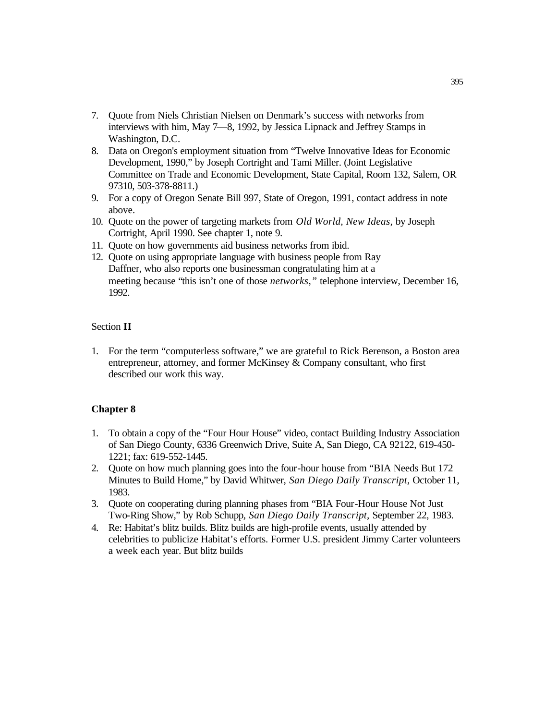- 7. Quote from Niels Christian Nielsen on Denmark's success with networks from interviews with him, May 7—8, 1992, by Jessica Lipnack and Jeffrey Stamps in Washington, D.C.
- 8. Data on Oregon's employment situation from "Twelve Innovative Ideas for Economic Development, 1990," by Joseph Cortright and Tami Miller. (Joint Legislative Committee on Trade and Economic Development, State Capital, Room 132, Salem, OR 97310, 503-378-8811.)
- 9. For a copy of Oregon Senate Bill 997, State of Oregon, 1991, contact address in note above.
- 10. Quote on the power of targeting markets from *Old World, New Ideas,* by Joseph Cortright, April 1990. See chapter 1, note 9.
- 11. Quote on how governments aid business networks from ibid.
- 12. Quote on using appropriate language with business people from Ray Daffner, who also reports one businessman congratulating him at a meeting because "this isn't one of those *networks,"* telephone interview, December 16, 1992.

## Section **II**

1. For the term "computerless software," we are grateful to Rick Berenson, a Boston area entrepreneur, attorney, and former McKinsey & Company consultant, who first described our work this way.

- 1. To obtain a copy of the "Four Hour House" video, contact Building Industry Association of San Diego County, 6336 Greenwich Drive, Suite A, San Diego, CA 92122, 619-450- 1221; fax: 619-552-1445.
- 2. Quote on how much planning goes into the four-hour house from "BIA Needs But 172 Minutes to Build Home," by David Whitwer, *San Diego Daily Transcript,* October 11, 1983.
- 3. Quote on cooperating during planning phases from "BIA Four-Hour House Not Just Two-Ring Show," by Rob Schupp, *San Diego Daily Transcript,* September 22, 1983.
- 4. Re: Habitat's blitz builds. Blitz builds are high-profile events, usually attended by celebrities to publicize Habitat's efforts. Former U.S. president Jimmy Carter volunteers a week each year. But blitz builds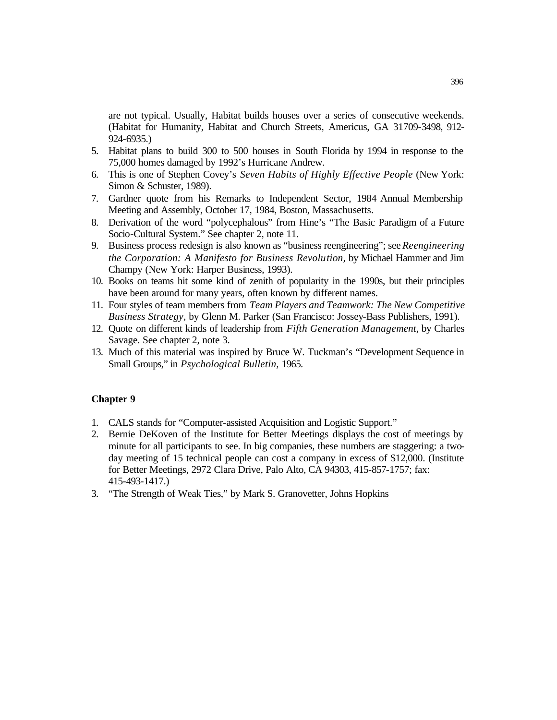are not typical. Usually, Habitat builds houses over a series of consecutive weekends. (Habitat for Humanity, Habitat and Church Streets, Americus, GA 31709-3498, 912- 924-6935.)

- 5. Habitat plans to build 300 to 500 houses in South Florida by 1994 in response to the 75,000 homes damaged by 1992's Hurricane Andrew.
- 6. This is one of Stephen Covey's *Seven Habits of Highly Effective People* (New York: Simon & Schuster, 1989).
- 7. Gardner quote from his Remarks to Independent Sector, 1984 Annual Membership Meeting and Assembly, October 17, 1984, Boston, Massachusetts.
- 8. Derivation of the word "polycephalous" from Hine's "The Basic Paradigm of a Future Socio-Cultural System." See chapter 2, note 11.
- 9. Business process redesign is also known as "business reengineering"; see *Reengineering the Corporation: A Manifesto for Business Revolution,* by Michael Hammer and Jim Champy (New York: Harper Business, 1993).
- 10. Books on teams hit some kind of zenith of popularity in the 1990s, but their principles have been around for many years, often known by different names.
- 11. Four styles of team members from *Team Players and Teamwork: The New Competitive Business Strategy,* by Glenn M. Parker (San Francisco: Jossey-Bass Publishers, 1991).
- 12. Quote on different kinds of leadership from *Fifth Generation Management,* by Charles Savage. See chapter 2, note 3.
- 13. Much of this material was inspired by Bruce W. Tuckman's "Development Sequence in Small Groups," in *Psychological Bulletin,* 1965.

- 1. CALS stands for "Computer-assisted Acquisition and Logistic Support."
- 2. Bernie DeKoven of the Institute for Better Meetings displays the cost of meetings by minute for all participants to see. In big companies, these numbers are staggering: a twoday meeting of 15 technical people can cost a company in excess of \$12,000. (Institute for Better Meetings, 2972 Clara Drive, Palo Alto, CA 94303, 415-857-1757; fax: 415-493-1417.)
- 3. "The Strength of Weak Ties," by Mark S. Granovetter, Johns Hopkins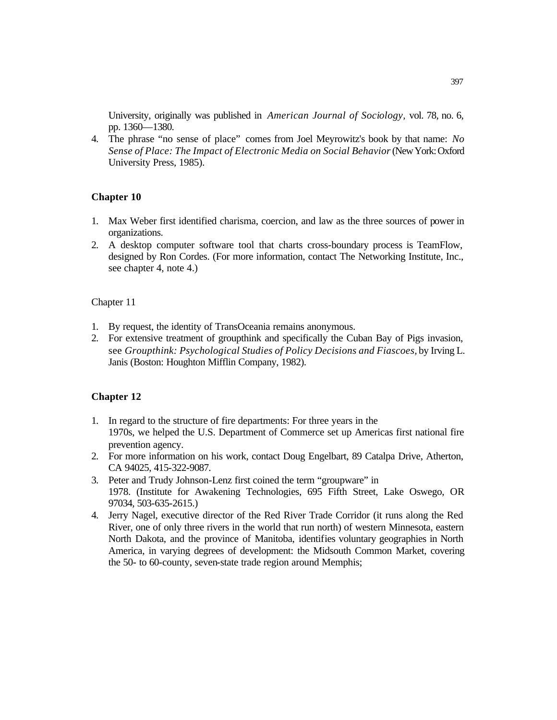University, originally was published in *American Journal of Sociology,* vol. 78, no. 6, pp. 1360—1380.

4. The phrase "no sense of place" comes from Joel Meyrowitz's book by that name: *No*  Sense of Place: The Impact of Electronic Media on Social Behavior (New York: Oxford University Press, 1985).

## **Chapter 10**

- 1. Max Weber first identified charisma, coercion, and law as the three sources of power in organizations.
- 2. A desktop computer software tool that charts cross-boundary process is TeamFlow, designed by Ron Cordes. (For more information, contact The Networking Institute, Inc., see chapter 4, note 4.)

#### Chapter 11

- 1. By request, the identity of TransOceania remains anonymous.
- 2. For extensive treatment of groupthink and specifically the Cuban Bay of Pigs invasion, see *Groupthink: Psychological Studies of Policy Decisions and Fiascoes,* by Irving L. Janis (Boston: Houghton Mifflin Company, 1982).

- 1. In regard to the structure of fire departments: For three years in the 1970s, we helped the U.S. Department of Commerce set up Americas first national fire prevention agency.
- 2. For more information on his work, contact Doug Engelbart, 89 Catalpa Drive, Atherton, CA 94025, 415-322-9087.
- 3. Peter and Trudy Johnson-Lenz first coined the term "groupware" in 1978. (Institute for Awakening Technologies, 695 Fifth Street, Lake Oswego, OR 97034, 503-635-2615.)
- 4. Jerry Nagel, executive director of the Red River Trade Corridor (it runs along the Red River, one of only three rivers in the world that run north) of western Minnesota, eastern North Dakota, and the province of Manitoba, identifies voluntary geographies in North America, in varying degrees of development: the Midsouth Common Market, covering the 50- to 60-county, seven-state trade region around Memphis;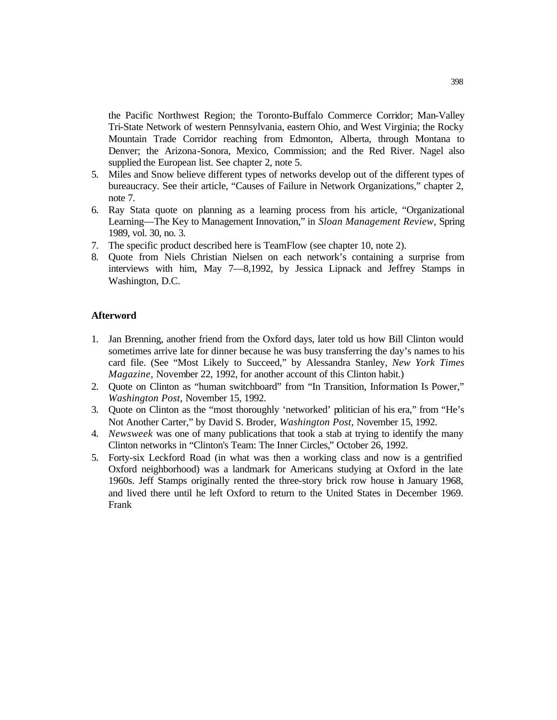the Pacific Northwest Region; the Toronto-Buffalo Commerce Corridor; Man-Valley Tri-State Network of western Pennsylvania, eastern Ohio, and West Virginia; the Rocky Mountain Trade Corridor reaching from Edmonton, Alberta, through Montana to Denver; the Arizona-Sonora, Mexico, Commission; and the Red River. Nagel also supplied the European list. See chapter 2, note 5.

- 5. Miles and Snow believe different types of networks develop out of the different types of bureaucracy. See their article, "Causes of Failure in Network Organizations," chapter 2, note 7.
- 6. Ray Stata quote on planning as a learning process from his article, "Organizational Learning—The Key to Management Innovation," in *Sloan Management Review,* Spring 1989, vol. 30, no. 3.
- 7. The specific product described here is TeamFlow (see chapter 10, note 2).
- 8. Quote from Niels Christian Nielsen on each network's containing a surprise from interviews with him, May 7—8,1992, by Jessica Lipnack and Jeffrey Stamps in Washington, D.C.

## **Afterword**

- 1. Jan Brenning, another friend from the Oxford days, later told us how Bill Clinton would sometimes arrive late for dinner because he was busy transferring the day's names to his card file. (See "Most Likely to Succeed," by Alessandra Stanley, *New York Times Magazine,* November 22, 1992, for another account of this Clinton habit.)
- 2. Quote on Clinton as "human switchboard" from "In Transition, Information Is Power," *Washington Post,* November 15, 1992.
- 3. Quote on Clinton as the "most thoroughly 'networked' politician of his era," from "He's Not Another Carter," by David S. Broder, *Washington Post,* November 15, 1992.
- 4. *Newsweek* was one of many publications that took a stab at trying to identify the many Clinton networks in "Clinton's Team: The Inner Circles," October 26, 1992.
- 5. Forty-six Leckford Road (in what was then a working class and now is a gentrified Oxford neighborhood) was a landmark for Americans studying at Oxford in the late 1960s. Jeff Stamps originally rented the three-story brick row house in January 1968, and lived there until he left Oxford to return to the United States in December 1969. Frank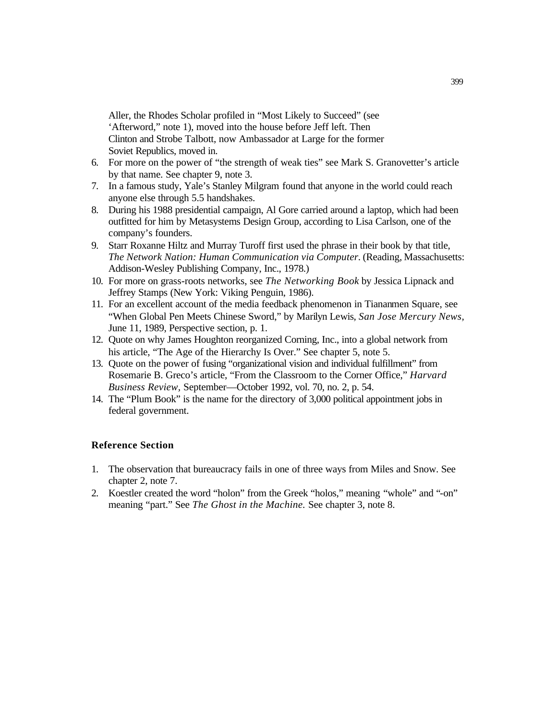Aller, the Rhodes Scholar profiled in "Most Likely to Succeed" (see 'Afterword," note 1), moved into the house before Jeff left. Then Clinton and Strobe Talbott, now Ambassador at Large for the former Soviet Republics, moved in.

- 6. For more on the power of "the strength of weak ties" see Mark S. Granovetter's article by that name. See chapter 9, note 3.
- 7. In a famous study, Yale's Stanley Milgram found that anyone in the world could reach anyone else through 5.5 handshakes.
- 8. During his 1988 presidential campaign, Al Gore carried around a laptop, which had been outfitted for him by Metasystems Design Group, according to Lisa Carlson, one of the company's founders.
- 9. Starr Roxanne Hiltz and Murray Turoff first used the phrase in their book by that title, *The Network Nation: Human Communication via Computer.* (Reading, Massachusetts: Addison-Wesley Publishing Company, Inc., 1978.)
- 10. For more on grass-roots networks, see *The Networking Book* by Jessica Lipnack and Jeffrey Stamps (New York: Viking Penguin, 1986).
- 11. For an excellent account of the media feedback phenomenon in Tiananmen Square, see "When Global Pen Meets Chinese Sword," by Marilyn Lewis, *San Jose Mercury News,*  June 11, 1989, Perspective section, p. 1.
- 12. Quote on why James Houghton reorganized Corning, Inc., into a global network from his article, "The Age of the Hierarchy Is Over." See chapter 5, note 5.
- 13. Quote on the power of fusing "organizational vision and individual fulfillment" from Rosemarie B. Greco's article, "From the Classroom to the Corner Office," *Harvard Business Review,* September—October 1992, vol. 70, no. 2, p. 54.
- 14. The "Plum Book" is the name for the directory of 3,000 political appointment jobs in federal government.

# **Reference Section**

- 1. The observation that bureaucracy fails in one of three ways from Miles and Snow. See chapter 2, note 7.
- 2. Koestler created the word "holon" from the Greek "holos," meaning "whole" and "-on" meaning "part." See *The Ghost in the Machine.* See chapter 3, note 8.